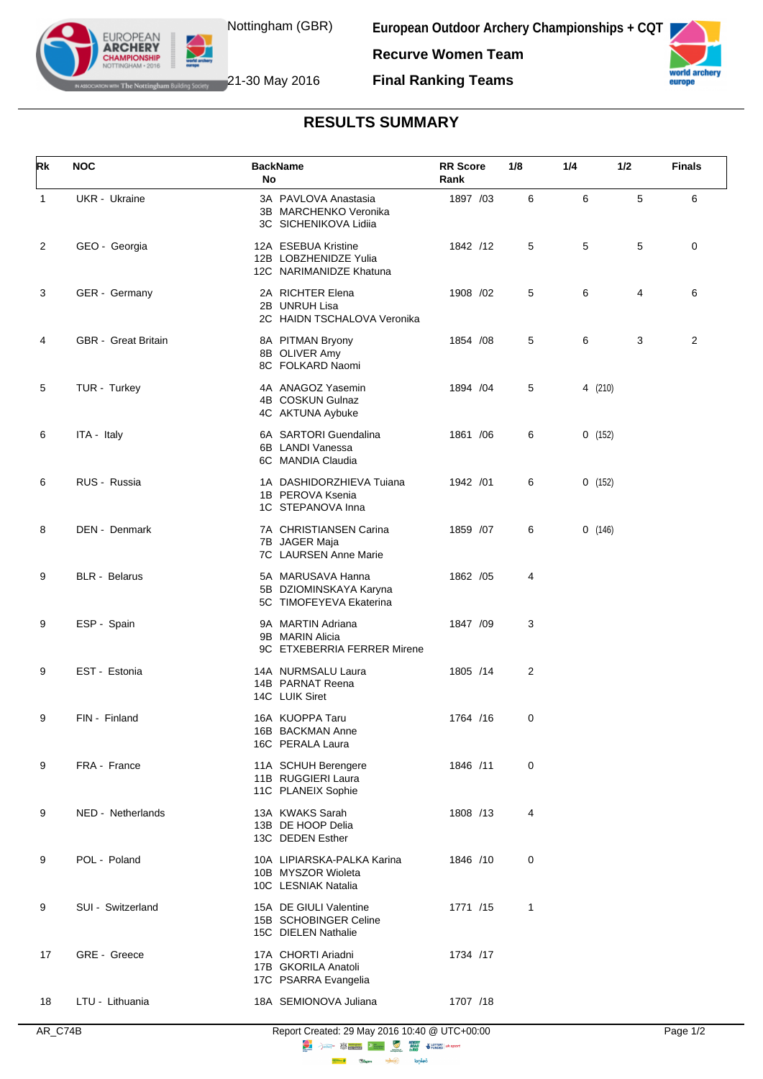

**European Outdoor Archery Championships + CQT Recurve Women Team**



**IF The Nottingham Building Society** 21-30 May 2016

**EUROPEAN ARCHERY** 

**Final Ranking Teams**

## **RESULTS SUMMARY**

| Rk           | <b>NOC</b>                 | <b>BackName</b><br>No                                                   | <b>RR</b> Score<br>Rank | 1/8 | 1/4     | 1/2 | <b>Finals</b> |
|--------------|----------------------------|-------------------------------------------------------------------------|-------------------------|-----|---------|-----|---------------|
| $\mathbf{1}$ | UKR - Ukraine              | 3A PAVLOVA Anastasia<br>3B MARCHENKO Veronika<br>3C SICHENIKOVA Lidiia  | 1897 /03                | 6   | 6       | 5   | 6             |
| 2            | GEO - Georgia              | 12A ESEBUA Kristine<br>12B LOBZHENIDZE Yulia<br>12C NARIMANIDZE Khatuna | 1842 /12                | 5   | 5       | 5   | 0             |
| 3            | GER - Germany              | 2A RICHTER Elena<br>2B UNRUH Lisa<br>2C HAIDN TSCHALOVA Veronika        | 1908 /02                | 5   | 6       | 4   | 6             |
| 4            | <b>GBR</b> - Great Britain | 8A PITMAN Bryony<br>8B OLIVER Amy<br>8C FOLKARD Naomi                   | 1854 / 08               | 5   | 6       | 3   | 2             |
| 5            | TUR - Turkey               | 4A ANAGOZ Yasemin<br>4B COSKUN Gulnaz<br>4C AKTUNA Aybuke               | 1894 / 04               | 5   | 4 (210) |     |               |
| 6            | ITA - Italy                | 6A SARTORI Guendalina<br>6B LANDI Vanessa<br>6C MANDIA Claudia          | 1861 / 06               | 6   | 0(152)  |     |               |
| 6            | RUS - Russia               | 1A DASHIDORZHIEVA Tuiana<br>1B PEROVA Ksenia<br>1C STEPANOVA Inna       | 1942 /01                | 6   | 0(152)  |     |               |
| 8            | DEN - Denmark              | 7A CHRISTIANSEN Carina<br>7B JAGER Maja<br><b>7C</b> LAURSEN Anne Marie | 1859 / 07               | 6   | 0(146)  |     |               |
| 9            | <b>BLR</b> - Belarus       | 5A MARUSAVA Hanna<br>5B DZIOMINSKAYA Karyna<br>5C TIMOFEYEVA Ekaterina  | 1862 / 05               | 4   |         |     |               |
| 9            | ESP - Spain                | 9A MARTIN Adriana<br>9B MARIN Alicia<br>9C ETXEBERRIA FERRER Mirene     | 1847 /09                | 3   |         |     |               |
| 9            | EST - Estonia              | 14A NURMSALU Laura<br>14B PARNAT Reena<br>14C LUIK Siret                | 1805 /14                | 2   |         |     |               |
| 9            | FIN - Finland              | 16A KUOPPA Taru<br>16B BACKMAN Anne<br>16C PERALA Laura                 | 1764 /16                | 0   |         |     |               |
| 9            | FRA - France               | 11A SCHUH Berengere<br>11B RUGGIERI Laura<br>11C PLANEIX Sophie         | 1846 /11                | 0   |         |     |               |
| 9            | NED - Netherlands          | 13A KWAKS Sarah<br>13B DE HOOP Delia<br>13C DEDEN Esther                | 1808 /13                | 4   |         |     |               |
| 9            | POL - Poland               | 10A LIPIARSKA-PALKA Karina<br>10B MYSZOR Wioleta<br>10C LESNIAK Natalia | 1846 /10                | 0   |         |     |               |
| 9            | SUI - Switzerland          | 15A DE GIULI Valentine<br>15B SCHOBINGER Celine<br>15C DIELEN Nathalie  | 1771 /15                | 1   |         |     |               |
| 17           | GRE - Greece               | 17A CHORTI Ariadni<br>17B GKORILA Anatoli<br>17C PSARRA Evangelia       | 1734 /17                |     |         |     |               |
| 18           | LTU - Lithuania            | 18A SEMIONOVA Juliana                                                   | 1707 /18                |     |         |     |               |